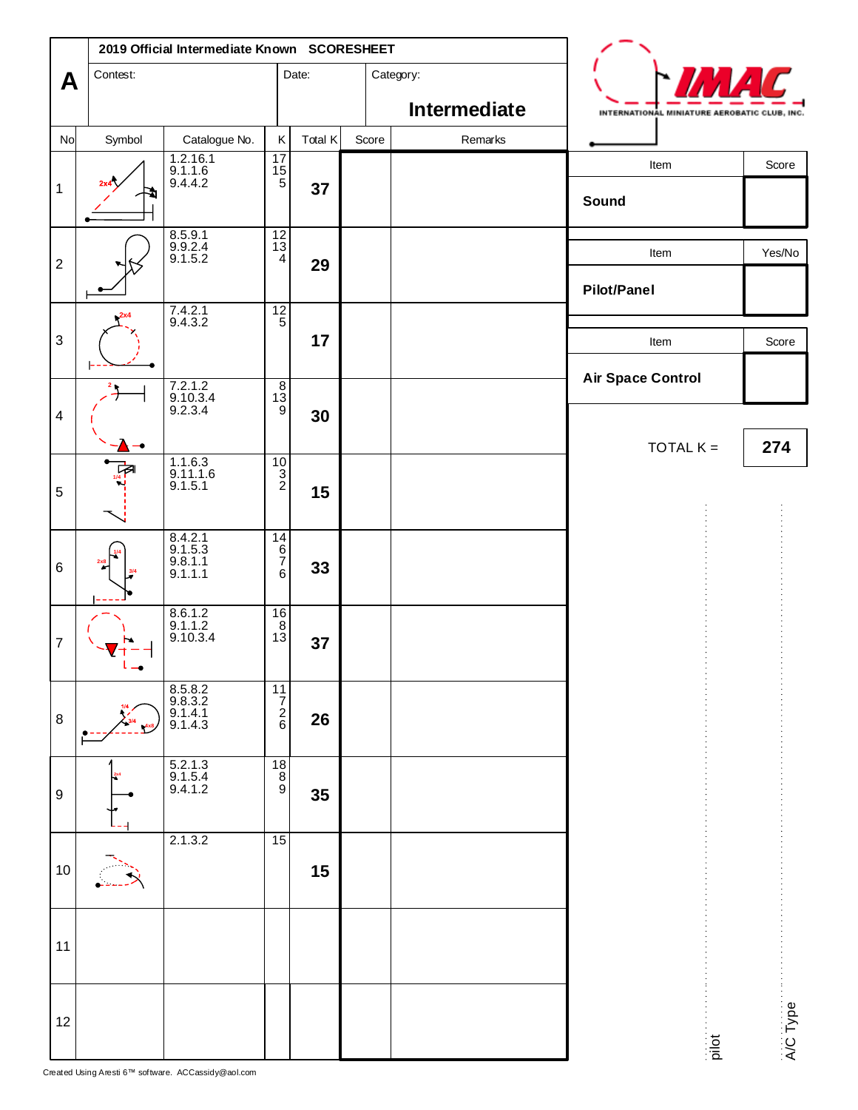|                         | 2019 Official Intermediate Known SCORESHEET |                                            |                                                                          |         |       |  |              |                                              |                           |
|-------------------------|---------------------------------------------|--------------------------------------------|--------------------------------------------------------------------------|---------|-------|--|--------------|----------------------------------------------|---------------------------|
| A                       | Contest:                                    |                                            |                                                                          | Date:   |       |  | Category:    |                                              |                           |
|                         |                                             |                                            |                                                                          |         |       |  | Intermediate | INTERNATIONAL MINIATURE AEROBATIC CLUB, INC. |                           |
| No                      | Symbol                                      | Catalogue No.                              | Κ                                                                        | Total K | Score |  | Remarks      |                                              |                           |
| $\mathbf{1}$            |                                             | 1.2.16.1<br>9.1.1.6<br>9.4.4.2             | $\begin{array}{c} 17 \\ 15 \\ 5 \end{array}$                             | 37      |       |  |              | Item<br>Sound                                | Score                     |
| $\sqrt{2}$              |                                             | 8.5.9.1<br>9.9.2.4<br>9.1.5.2              | $\frac{12}{13}$<br>4                                                     | 29      |       |  |              | Item<br><b>Pilot/Panel</b>                   | Yes/No                    |
| $\mathsf 3$             |                                             | 7.4.2.1<br>9.4.3.2                         | $\frac{12}{5}$                                                           | 17      |       |  |              | Item                                         | Score                     |
| $\overline{\mathbf{4}}$ |                                             | 7.2.1.2<br>9.10.3.4<br>9.2.3.4             | 13<br>$\overline{9}$                                                     | 30      |       |  |              | <b>Air Space Control</b>                     |                           |
| $\mathbf 5$             |                                             | 1.1.6.3<br>9.11.1.6<br>9.1.5.1             | $\begin{bmatrix} 10 \\ 3 \\ 2 \end{bmatrix}$                             | 15      |       |  |              | TOTAL $K =$                                  | 274                       |
| $6\phantom{1}6$         |                                             | $8.4.2.1$<br>9.1.5.3<br>9.8.1.1<br>9.1.1.1 | 14<br>$6 \over 7$<br>6                                                   | 33      |       |  |              |                                              |                           |
| $\boldsymbol{7}$        |                                             | $8.6.1.2$<br>9.1.1.2<br>9.10.3.4           | $^{16}_{\ 8}$<br>$1\bar{3}$                                              | 37      |       |  |              |                                              |                           |
| $\, 8$                  |                                             | 8.5.8.2<br>9.8.3.2<br>9.1.4.1<br>9.1.4.3   | $\begin{array}{c}\n\overline{11} \\ \overline{7} \\ 2 \\ 6\n\end{array}$ | 26      |       |  |              |                                              |                           |
| 9                       |                                             | 5.2.1.3<br>9.1.5.4<br>9.4.1.2              | $\begin{bmatrix} 18 \\ 8 \\ 9 \end{bmatrix}$                             | 35      |       |  |              |                                              |                           |
| 10                      |                                             | 2.1.3.2                                    | 15                                                                       | 15      |       |  |              |                                              |                           |
| 11                      |                                             |                                            |                                                                          |         |       |  |              |                                              |                           |
| 12                      |                                             |                                            |                                                                          |         |       |  |              |                                              | A/C Type<br>$\frac{1}{2}$ |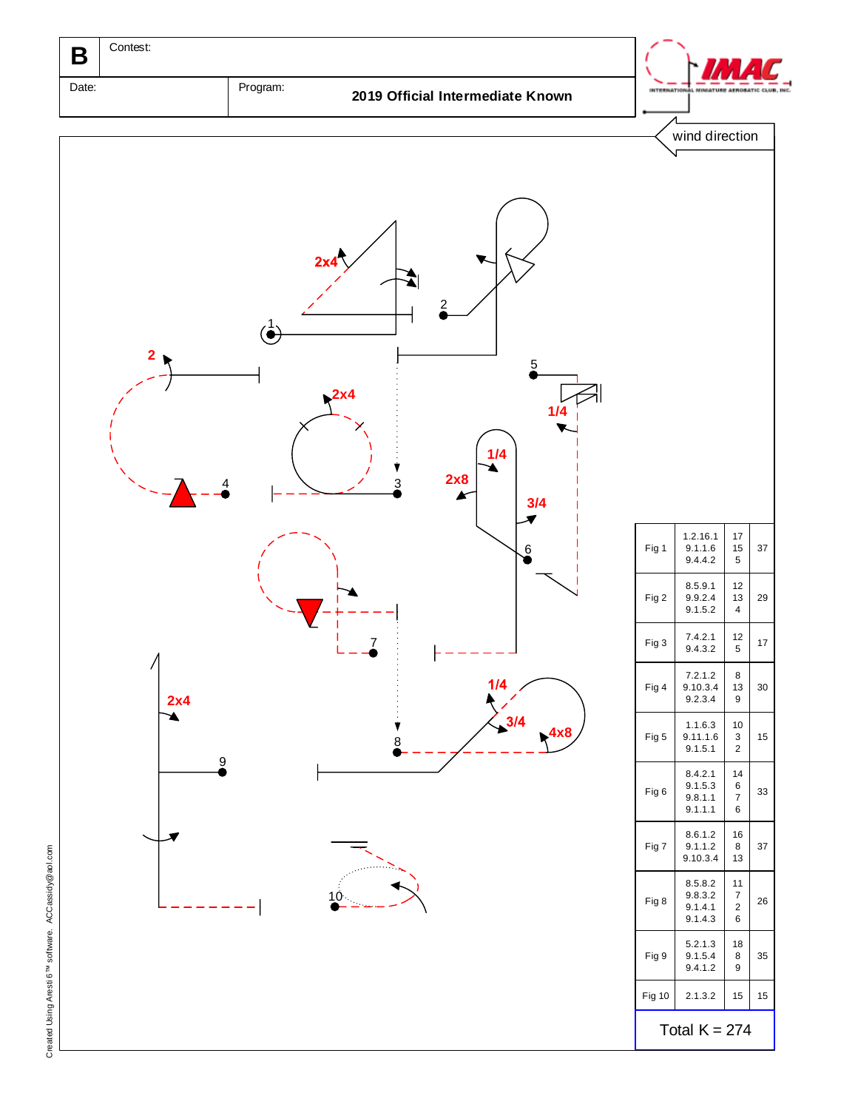